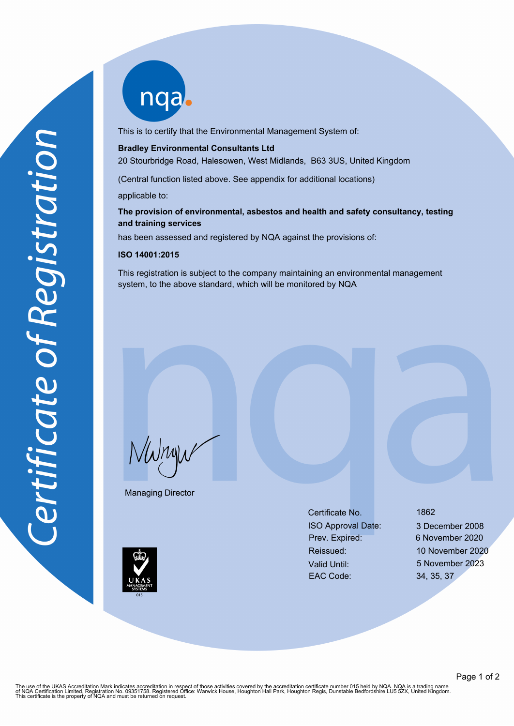nqab

This is to certify that the Environmental Management System of:

#### **Bradley Environmental Consultants Ltd**

20 Stourbridge Road, Halesowen, West Midlands, B63 3US, United Kingdom

(Central function listed above. See appendix for additional locations)

applicable to:

## **The provision of environmental, asbestos and health and safety consultancy, testing and training services**

has been assessed and registered by NQA against the provisions of:

#### **ISO 14001:2015**

This registration is subject to the company maintaining an environmental management system, to the above standard, which will be monitored by NQA

NWnyw

Managing Director

Certificate No. 1862 ISO Approval Date: 3 December 2008 Prev. Expired: 6 November 2020 Valid Until: 5 November 2023 EAC Code: 34, 35, 37

Reissued: 10 November 2020